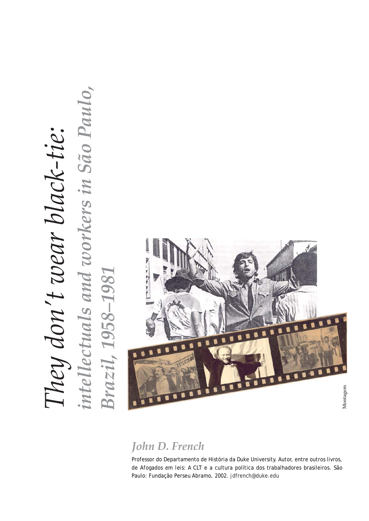# *kers in São Paulo,*  intellectuals and workers in São Paulo, *They don't wear black-tie:*  They don't wear black-tie: *intellectuals and*  **Brazil, 1958-1981** *Brazil, 1958–1981*



# *John D. French*

Professor do Departamento de História da Duke University. Autor, entre outros livros, de *Afogados em leis*: A CLT e a cultura política dos trabalhadores brasileiros. São Paulo: Fundação Perseu Abramo, 2002. jdfrench@duke.edu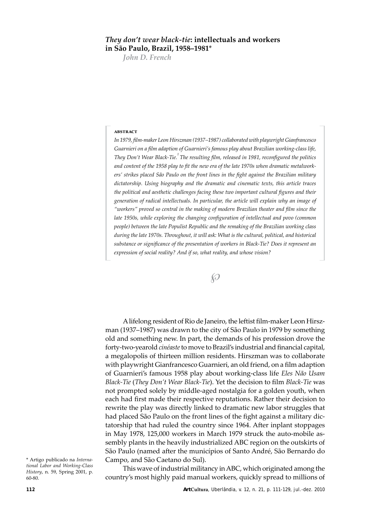### *They don't wear black-tie***: intellectuals and workers in São Paulo, Brazil, 1958–1981**\*

*John D. French* 

#### **abstract**

*In 1979, film-maker Leon Hirszman (1937–1987) collaborated with playwright Gian francesco Guarnieri on a film adaption of Guarnieri's famous play about Brazilian working-class life, They Don't Wear Black-Tie.1 The resulting film, released in 1981, reconfigured the politics and content of the 1958 play to fit the new era of the late 1970s when dramatic metalworkers' strikes placed São Paulo on the front lines in the fight against the Brazilian military dictatorship. Using biography and the dramatic and cinematic texts, this article traces the political and aesthetic challenges facing these two important cultural figures and their generation of radical intellectuals. In particular, the article will explain why an image of "workers" proved so central in the making of modern Brazilian theater and film since the*  late 1950s, while exploring the changing configuration of intellectual and povo (common *people) between the late Populist Republic and the remaking of the Brazilian working class during the late 1970s. Throughout, it will ask: What is the cultural, political, and historical*  substance or significance of the presentation of workers in Black-Tie? Does it represent an *expression of social reality? And if so, what reality, and whose vision?* 

 $\wp$ 

A lifelong resident of Rio de Janeiro, the leftist film-maker Leon Hirszman (1937–1987) was drawn to the city of São Paulo in 1979 by something old and something new. In part, the demands of his profession drove the forty-two-year old *cinéaste* to move to Brazil's industrial and financial capital, a megalopolis of thirteen million residents. Hirszman was to collaborate with playwright Gian francesco Guarnieri, an old friend, on a film adaption of Guarnieri's famous 1958 play about working-class life *Eles Não Usam Black-Tie* (*They Don't Wear Black-Tie*). Yet the decision to film *Black-Tie* was not prompted solely by middle-aged nostalgia for a golden youth, when each had first made their respective reputations. Rather their decision to rewrite the play was directly linked to dramatic new labor struggles that had placed São Paulo on the front lines of the fight against a military dictatorship that had ruled the country since 1964. After inplant stoppages in May 1978, 125,000 workers in March 1979 struck the auto-mobile assembly plants in the heavily industrialized ABC region on the outskirts of São Paulo (named after the municípios of Santo André, São Bernardo do Campo, and São Caetano do Sul).

This wave of industrial militancy in ABC, which originated among the country's most highly paid manual workers, quickly spread to millions of

<sup>\*</sup> Artigo publicado na *International Labor and Working-Class History*, n. 59, Spring 2001, p. 60-80.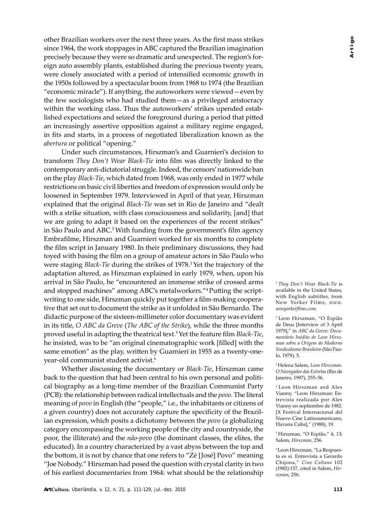other Brazilian workers over the next three years. As the first mass strikes since 1964, the work stoppages in ABC captured the Brazilian imagination precisely be cause they were so dramatic and unexpected. The region's foreign auto assembly plants, established during the previous twenty years, were closely associated with a period of intensified economic growth in the 1950s followed by a spectacular boom from 1968 to 1974 (the Brazilian "economic miracle"). If anything, the autoworkers were viewed—even by the few sociologists who had studied them—as a privileged aristocracy within the working class. Thus the autoworkers' strikes upended established expectations and seized the foreground during a period that pitted an increasingly assertive opposition against a military regime engaged, in fits and starts, in a process of negotiated liberalization known as the *abertura* or political "opening."

Under such circumstances, Hirszman's and Guarnieri's decision to trans form *They Don't Wear Black-Tie* into film was directly linked to the contemporary anti-dictatorial struggle. Indeed, the censors' nationwide ban on the play *Black-Tie*, which dated from 1968, was only ended in 1977 while restrictions on basic civil liberties and freedom of expression would only be loosened in September 1979. Interviewed in April of that year, Hirszman explained that the original *Black-Tie* was set in Rio de Janeiro and "dealt" with a strike situation, with class consciousness and solidarity, [and] that we are going to adapt it based on the experiences of the recent strikes" in São Paulo and ABC.2 With funding from the government's film agency Embrafilme, Hirszman and Guarnieri worked for six months to complete the film script in January 1980. In their preliminary discussions, they had toyed with basing the film on a group of amateur actors in São Paulo who were staging *Black-Tie* during the strikes of 1978.3 Yet the trajectory of the adaptation altered, as Hirszman explained in early 1979, when, upon his arrival in São Paulo, he "encountered an immense strike of crossed arms and stopped machines" among ABC's metalworkers."<sup>4</sup>Putting the scriptwriting to one side, Hirszman quickly put together a film-making cooperative that set out to document the strike as it unfolded in São Bernardo. The didactic purpose of the sixteen-millimeter color documentary was evident in its title, *O ABC da Greve* (*The ABC of the Strike*), while the three months proved useful in adapting the theatrical text.<sup>5</sup> Yet the feature film *Black-Tie*, he insisted, was to be "an original cinematographic work [filled] with the same emotion" as the play, written by Guarnieri in 1955 as a twenty-oneyear-old communist student activist.6

Whether discussing the documentary or *Black-Tie*, Hirszman came back to the question that had been central to his own personal and political biography as a long-time member of the Brazilian Communist Party (PCB): the relation ship between radical intellectuals and the *povo*. The literal meaning of *povo* in English (the "people," i.e., the inhabitants or citizens of a given country) does not accurately capture the specificity of the Brazilian expression, which posits a dichotomy between the *povo* (a globalizing category encompassing the working people of the city and countryside, the poor, the illiterate) and the *não-povo* (the dominant classes, the elites, the educated). In a country characterized by a vast abyss between the top and the bottom, it is not by chance that one refers to "Zé [José] Povo" meaning "Joe Nobody." Hirszman had posed the question with crystal clarity in two of his earliest documentaries from 1964: what should be the relationship

<sup>1</sup>*They Don't Wear Black-Tie* is available in the United States, with English subtitles, from New Yorker Films, *www. newyorkerfilms.com*.

2 Leon Hirszman, "O Espião de Deus [Interview of 3 April 1979]," in *ABC da Greve: Documentário Inédito de Leon Hirszman sobre a Origem do Moderno Sindicalismo Brasileiro* (São Paulo, 1979), 5.

3 Helena Salem, *Leon Hirszman. O Navegador das Estrelas* (Rio de Janeiro, 1997), 255–56.

4 Leon Hirszman and Alex Vianny, "Leon Hirszman: Entrevista realizada por Alex Vianny en septiembre de 1982. [X Festival Internacional del Nuevo Cine Latinoamericano, Havana Cuba]," (1988), 19.

5 Hirszman, "O Espião," 6, 13; Salem, *Hirszman*, 256.

6 Leon Hirszman, "La Respuesta es sí. Entrevista a Gerardo Chijona," *Cine Cubano* 102 (1982):157, cited in Salem, *Hirszman*, 256.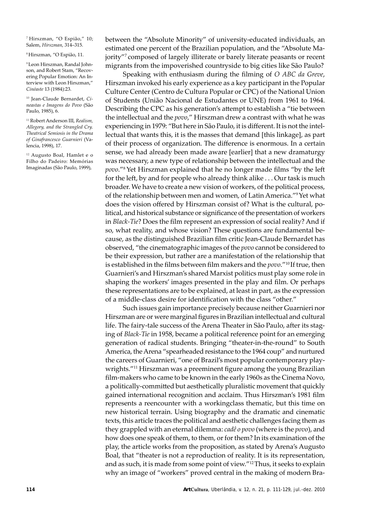7 Hirszman, "O Espião," 10; Salem, *Hirszman*, 314–315.

8 Hirszman, "O Espião, 11.

9 Leon Hirszman, Randal Johnson, and Robert Stam, "Recovering Popular Emotion: An Interview with Leon Hirszman," *Cinéaste* 13 (1984):23.

10 Jean-Claude Bernardet, *Cineastas e Imagens do Povo* (São Paulo, 1985), 6.

11 Robert Anderson III, *Realism, Allegory, and the Strangled Cry. Theatrical Semiosis in the Drama of Ginafrancesco Guarnieri* (Valencia, 1998), 17.

12 Augusto Boal, Hamlet e o Filho do Padeiro: Memórias Imaginadas (São Paulo, 1999),

between the "Absolute Minority" of university-educated individuals, an estimated one percent of the Brazilian population, and the "Absolute Majority"7 composed of largely illiterate or barely literate peasants or recent migrants from the impoverished countryside to big cities like São Paulo?

Speaking with enthusiasm during the filming of *O ABC da Greve*, Hirszman invoked his early experience as a key participant in the Popular Culture Center (Centro de Cultura Popular or CPC) of the National Union of Students (União Nacional de Estudantes or UNE) from 1961 to 1964. Describing the CPC as his generation's attempt to establish a "tie between the intellectual and the *povo*," Hirszman drew a contrast with what he was experiencing in 1979: "But here in São Paulo, it is different. It is not the intellectual that wants this, it is the masses that demand [this linkage], as part of their process of organization. The difference is enormous. In a certain sense, we had already been made aware [earlier] that a new dramaturgy was necessary, a new type of relationship between the intellectual and the *povo*."8 Yet Hirszman explained that he no longer made films "by the left for the left, by and for people who already think alike  $\dots$  Our task is much broader. We have to create a new vision of workers, of the political process, of the relationship between men and women, of Latin America."9 Yet what does the vision offered by Hirszman consist of? What is the cultural, political, and historical substance or significance of the presentation of workers in *Black-Tie*? Does the film represent an expression of social reality? And if so, what reality, and whose vision? These questions are fundamental because, as the distinguished Brazilian film critic Jean-Claude Bernardet has observed, "the cinematographic images of the *povo* cannot be considered to be their expression, but rather are a manifestation of the relationship that is established in the films between film makers and the *povo*."10 If true, then Guarnieri's and Hirszman's shared Marxist politics must play some role in shaping the workers' images presented in the play and film. Or perhaps these representations are to be explained, at least in part, as the expression of a middle-class desire for identification with the class "other."

Such issues gain importance precisely because neither Guarnieri nor Hirszman are or were marginal figures in Brazilian intellectual and cultural life. The fairy-tale success of the Arena Theater in São Paulo, after its staging of *Black-Tie* in 1958, became a political reference point for an emerging generation of radical students. Bringing "theater-in-the-round" to South America, the Arena "spearheaded resistance to the 1964 coup" and nurtured the careers of Guarnieri, "one of Brazil's most popular contemporary playwrights."11 Hirszman was a preeminent figure among the young Brazilian film-makers who came to be known in the early 1960s as the Cinema Novo, a politically-committed but aesthetically pluralistic movement that quickly gained international recognition and acclaim. Thus Hirszman's 1981 film represents a reencounter with a working class thematic, but this time on new historical terrain. Using biography and the dramatic and cinematic texts, this article traces the political and aesthetic challenges facing them as they grappled with an eternal dilemma: *cadê o povo* (where is the *povo*), and how does one speak of them, to them, or for them? In its examination of the play, the article works from the proposition, as stated by Arena's Augusto Boal, that "theater is not a reproduction of reality. It is its representation, and as such, it is made from some point of view."12 Thus, it seeks to explain why an image of "workers" proved central in the making of modern Bra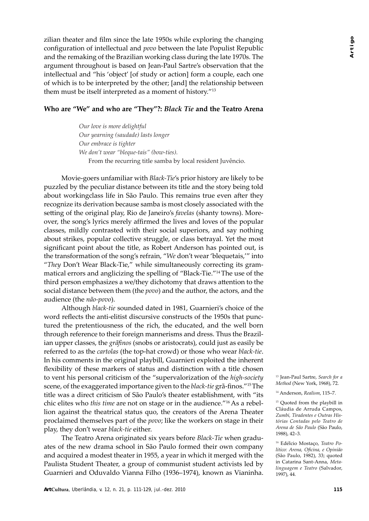zilian theater and film since the late 1950s while exploring the changing configuration of intellectual and *povo* between the late Populist Republic and the remaking of the Brazilian working class during the late 1970s. The argument throughout is based on Jean-Paul Sartre's observation that the intellectual and "his 'object' [of study or action] form a couple, each one of which is to be interpreted by the other; [and] the relationship between them must be itself interpreted as a moment of history."13

## **Who are "We" and who are "They"?:** *Black Tie* **and the Teatro Arena**

*Our love is more delightful Our yearning (saudade) lasts longer Our embrace is tighter We don't wear "bleque-tais" (bow-ties).*  From the recurring title samba by local resident Juvêncio.

Movie-goers unfamiliar with *Black-Tie*'s prior history are likely to be puzzled by the peculiar distance between its title and the story being told about working class life in São Paulo. This remains true even after they recognize its derivation because samba is most closely associated with the setting of the original play, Rio de Janeiro's *favelas* (shanty towns). Moreover, the song's lyrics merely affirmed the lives and loves of the popular classes, mildly contrasted with their social superiors, and say nothing about strikes, popular collective struggle, or class betrayal. Yet the most significant point about the title, as Robert Anderson has pointed out, is the transformation of the song's refrain, "*We* don't wear 'blequetais,'" into "*They* Don't Wear Black-Tie," while simultaneously correcting its grammatical errors and anglicizing the spelling of "Black-Tie."14 The use of the third person emphasizes a we/they dichotomy that draws attention to the social distance between them (the *povo*) and the author, the actors, and the audience (the *não-povo*).

Although *black-tie* sounded dated in 1981, Guarnieri's choice of the word reflects the anti-elitist discursive constructs of the 1950s that punctured the pretentiousness of the rich, the educated, and the well born through reference to their foreign mannerisms and dress. Thus the Brazilian upper classes, the *grãfinos* (snobs or aristocrats), could just as easily be referred to as the *cartolas* (the top-hat crowd) or those who wear *black-tie*. In his comments in the original playbill, Guarnieri exploited the inherent flexibility of these markers of status and distinction with a title chosen to vent his personal criticism of the "supervalorization of the *high-society*  scene, of the exaggerated importance given to the *black-tie* grã-finos."15 The title was a direct criticism of São Paulo's theater establishment, with "its chic elites who *this time* are not on stage or in the audience."16 As a rebellion against the theatrical status quo, the creators of the Arena Theater proclaimed themselves part of the *povo*; like the workers on stage in their play, they don't wear *black-tie* either.

The Teatro Arena originated six years before *Black-Tie* when graduates of the new drama school in São Paulo formed their own company and acquired a modest theater in 1955, a year in which it merged with the Paulista Student Theater, a group of communist student activists led by Guarnieri and Oduvaldo Vianna Filho (1936–1974), known as Vianinha. 13 Jean-Paul Sartre, *Search for a Method* (New York, 1968), 72.

<sup>14</sup> Anderson, *Realism*, 115–7.

<sup>&</sup>lt;sup>15</sup> Quoted from the playbill in Cláudia de Arruda Campos, *Zumbi, Tiradentes e Outras Histórias Contadas pelo Teatro de Arena de São Paulo* (São Paulo, 1988), 42–3.

<sup>16</sup> Edélcio Mostaço, *Teatro Político: Arena, Oficina, e Opinião*  (São Paulo, 1982), 33; quoted in Catarina Sant-Anna, *Metalinguagem e Teatro* (Salvador, 1997), 44.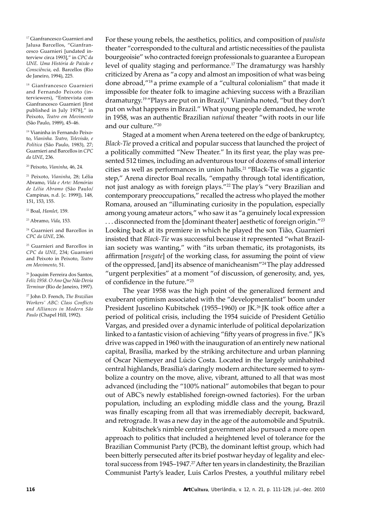17 Gianfrancesco Guarnieri and Jalusa Barcellos, "Gianfrancesco Guarnieri [undated interview circa 1993]," in *CPC da UNE. Uma História de Paixão e Consciência*, ed. Barcellos (Rio de Janeiro, 1994), 225.

18 Gianfrancesco Guarnieri and Fernando Peixoto (interviewers), "Entrevista com Gianfrancesco Guarnieri [first published in July 1978]," in Peixoto, *Teatro em Movimento*  (São Paulo, 1989), 45–46.

19 Vianinha in Fernando Peixoto, *Vianinha. Teatro, Televisão, e Política* (São Paulo, 1983), 27; Guarnieri and Barcellos in *CPC da UNE*, 236.

20 Peixoto, *Vianinha*, 46, 24.

21 Peixoto, *Vianinha*, 28; Lélia Abramo, *Vida e Arte: Memórias de Lélia Abramo* (São Paulo/ Campinas, n.d. [c. 1999]), 148, 151, 153, 155.

22 Boal, *Hamlet*, 159.

23 Abramo, *Vida*, 153.

<sup>24</sup> Guarnieri and Barcellos in *CPC da UNE*, 236.

<sup>25</sup> Guarnieri and Barcellos in *CPC da UNE*, 234; Guarnieri and Peixoto in Peixoto, *Teatro em Movimento*, 51.

26 Joaquim Ferreira dos Santos, *Feliz 1958. O Ano Que Não Devia Terminar* (Rio de Janeiro, 1997).

27 John D. French, *The Brazilian Workers' ABC: Class Conflicts and Alliances in Mod ern São Paulo* (Chapel Hill, 1992).

For these young rebels, the aesthetics, politics, and composition of *paulista* theater "corresponded to the cultural and artistic necessities of the paulista bourgeoisie" who contracted foreign professionals to guarantee a European level of quality staging and performance.<sup>17</sup> The dramaturgy was harshly criticized by Arena as "a copy and almost an imposition of what was being done abroad,"<sup>18</sup> a prime example of a "cultural colonialism" that made it impossible for theater folk to imagine achieving success with a Brazilian dramaturgy.19 "Plays are put on in Brazil," Vianinha noted, "but they don't put on what happens in Brazil." What young people demanded, he wrote in 1958, was an authentic Brazilian *national* theater "with roots in our life and our culture."20

Staged at a moment when Arena teetered on the edge of bankruptcy, *Black-Tie* proved a critical and popular success that launched the project of a politically committed "New Theater." In its first year, the play was presented 512 times, including an adventurous tour of dozens of small interior cities as well as performances in union halls.<sup>21</sup> "Black-Tie was a gigantic step," Arena director Boal recalls, "empathy through total identification, not just analogy as with foreign plays."<sup>22</sup> The play's "very Brazilian and contemporary preoccupations," recalled the actress who played the mother Romana, aroused an "illuminating curiosity in the population, especially among young amateur actors," who saw it as "a genuinely local expression ... disconnected from the [dominant theater] aesthetic of foreign origin."<sup>23</sup> Looking back at its premiere in which he played the son Tião, Guarnieri insisted that *Black-Tie* was successful because it represented "what Brazilian society was wanting," with "its urban thematic, its protagonists, its affirmation [*resgate*] of the working class, for assuming the point of view of the oppressed, [and] its absence of manicheanism"24 The play addressed "urgent perplexities" at a moment "of discussion, of generosity, and, yes, of confidence in the future."<sup>25</sup>

The year 1958 was the high point of the generalized ferment and exuberant optimism associated with the "developmentalist" boom under President Juscelino Kubitschek (1955–1960) or JK.<sup>26</sup> JK took office after a period of political crisis, including the 1954 suicide of President Getúlio Vargas, and presided over a dynamic interlude of political depolarization linked to a fantastic vision of achieving "fifty years of progress in five." JK's drive was capped in 1960 with the inauguration of an entirely new national capital, Brasília, marked by the striking architecture and urban planning of Oscar Niemeyer and Lúcio Costa. Located in the largely uninhabited central highlands, Brasília's daringly modern architecture seemed to symbolize a country on the move, alive, vibrant, attuned to all that was most advanced (including the "100% national" automobiles that began to pour out of ABC's newly established foreign-owned factories). For the urban population, including an exploding middle class and the young, Brazil was finally escaping from all that was irremediably decrepit, backward, and retrograde. It was a new day in the age of the automobile and Sputnik.

Kubitschek's nimble centrist government also pursued a more open approach to politics that included a heightened level of tolerance for the Brazilian Communist Party (PCB), the dominant leftist group, which had been bitterly persecuted after its brief postwar heyday of legality and electoral success from 1945–1947.<sup>27</sup> After ten years in clandestinity, the Brazilian Communist Party's leader, Luis Carlos Prestes, a youthful military rebel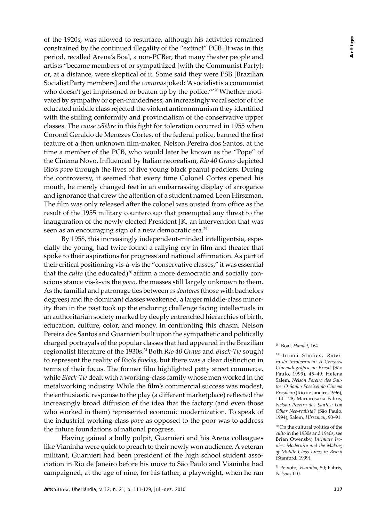of the 1920s, was allowed to resurface, although his activities remained constrained by the continued illegality of the "extinct" PCB. It was in this period, recalled Arena's Boal, a non-PCBer, that many theater people and artists "became members of or sympathized [with the Communist Party]; or, at a distance, were skeptical of it. Some said they were PSB [Brazilian Socialist Party members] and the *comunas* joked: 'A socialist is a communist who doesn't get imprisoned or beaten up by the police.'"<sup>28</sup> Whether motivated by sympathy or open-mindedness, an increasingly vocal sector of the educated middle class rejected the violent anticommunism they identified with the stifling conformity and provincialism of the conservative upper classes. The *cause célèbre* in this fight for toleration occurred in 1955 when Coronel Geraldo de Menezes Cortes, of the federal police, banned the first feature of a then unknown film-maker, Nelson Pereira dos Santos, at the time a member of the PCB, who would later be known as the "Pope" of the Cinema Novo. Influenced by Italian neorealism, *Rio 40 Graus* depicted Rio's *povo* through the lives of five young black peanut peddlers. During the controversy, it seemed that every time Colonel Cortes opened his mouth, he merely changed feet in an embarrassing display of arrogance and ignorance that drew the attention of a student named Leon Hirszman. The film was only released after the colonel was ousted from office as the result of the 1955 military countercoup that preempted any threat to the inauguration of the newly elected President JK, an intervention that was seen as an encouraging sign of a new democratic era.<sup>29</sup>

By 1958, this increasingly independent-minded intelligentsia, especially the young, had twice found a rallying cry in film and theater that spoke to their aspirations for progress and national affirmation. As part of their critical positioning vis-à-vis the "conservative classes," it was essential that the *culto* (the educated)<sup>30</sup> affirm a more democratic and socially conscious stance vis-à-vis the *povo*, the masses still largely unknown to them. As the familial and patronage ties between *os doutores* (those with bachelors degrees) and the dominant classes weakened, a larger middle-class minority than in the past took up the enduring challenge facing intellectuals in an authoritarian society marked by deeply entrenched hierarchies of birth, education, culture, color, and money. In confronting this chasm, Nelson Pereira dos Santos and Guarnieri built upon the sympathetic and politically charged portrayals of the popular classes that had appeared in the Brazilian regionalist literature of the 1930s.31 Both *Rio 40 Graus* and *Black-Tie* sought to represent the reality of Rio's *favelas*, but there was a clear distinction in terms of their focus. The former film highlighted petty street commerce, while *Black-Tie* dealt with a working-class family whose men worked in the metalworking industry. While the film's commercial success was modest, the enthusiastic response to the play (a different marketplace) reflected the increasingly broad diffusion of the idea that the factory (and even those who worked in them) represented economic modernization. To speak of the industrial working-class *povo* as opposed to the poor was to address the future foundations of national progress.

Having gained a bully pulpit, Guarnieri and his Arena colleagues like Vianinha were quick to preach to their newly won audience. A veteran militant, Guarnieri had been president of the high school student association in Rio de Janeiro before his move to São Paulo and Vianinha had campaigned, at the age of nine, for his father, a playwright, when he ran

28. Boal, *Hamlet*, 164.

<sup>29</sup> Inimá Simões, Rotei*ro da Intolerância: A Censura Cinematográfica no Brasil* (São Paulo, 1999), 45–49; Helena Salem, *Nelson Pereira dos Santos: O Sonho Possível do Cinema Brasileiro* (Rio de Janeiro, 1996), 114–128; Mariarosaria Fabris, *Nelson Pereira dos Santos: Um Olhar Neo-realista?* (São Paulo, 1994); Salem, *Hirszman*, 90–91.

<sup>30</sup> On the cultural politics of the *culto* in the 1930s and 1940s, see Brian Owensby, *Intimate Ironies: Modernity and the Making of Middle-Class Lives in Brazil*  (Stanford, 1999).

31 Peixoto, *Vianinha*, 50; Fabris, *Nelson*, 110.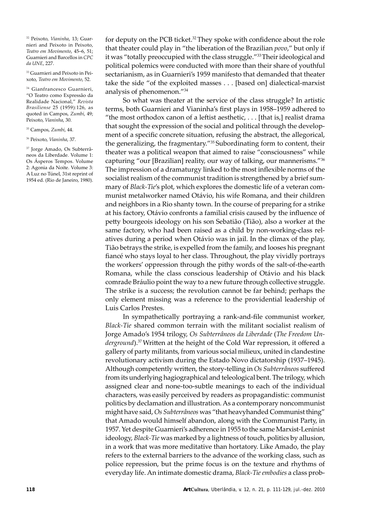32 Peixoto, *Vianinha*, 13; Guarnieri and Peixoto in Peixoto, *Teatro em Movimento*, 45–6, 51; Guarnieri and Barcellos in *CPC da UNE*, 227.

33 Guarnieri and Peixoto in Peixoto, *Teatro em Movimento*, 52.

34 Gianfrancesco Guarnieri, "O Teatro como Expressão da Realidade Nacional," *Revista Brasiliense* 25 (1959):126, as quoted in Campos, *Zumbi*, 49; Peixoto, *Vianinha*, 30.

35 Campos, *Zumbi*, 44.

36 Peixoto, *Vianinha*, 37.

37 Jorge Amado, Os Subterrâneos da Liberdade. Volume 1: Os Ásperos Tempos. Volume 2: Agonia da Noite. Volume 3: A Luz no Túnel, 31st reprint of 1954 ed. (Rio de Janeiro, 1980).

for deputy on the PCB ticket.32 They spoke with confidence about the role that theater could play in "the liberation of the Brazilian *povo*," but only if it was "totally preoccupied with the class struggle."<sup>33</sup> Their ideological and political polemics were conducted with more than their share of youthful sectarianism, as in Guarnieri's 1959 manifesto that demanded that theater take the side "of the exploited masses . . . [based on] dialectical-marxist analysis of phenomenon."34

So what was theater at the service of the class struggle? In artistic terms, both Guarnieri and Vianinha's first plays in 1958–1959 adhered to "the most orthodox canon of a leftist aesthetic, . . . [that is,] realist drama that sought the expression of the social and political through the development of a specific concrete situation, refusing the abstract, the allegorical, the generalizing, the fragmentary."35 Subordinating form to content, their theater was a political weapon that aimed to raise "consciousness" while capturing "our [Brazilian] reality, our way of talking, our mannerisms."<sup>36</sup> The impression of a dramaturgy linked to the most inflexible norms of the socialist realism of the communist tradition is strengthened by a brief summary of *Black-Tie*'s plot, which explores the domestic life of a veteran communist metalworker named Otávio, his wife Romana, and their children and neighbors in a Rio shanty town. In the course of preparing for a strike at his factory, Otávio confronts a familial crisis caused by the influence of petty bourgeois ideology on his son Sebatião (Tião), also a worker at the same factory, who had been raised as a child by non-working-class relatives during a period when Otávio was in jail. In the climax of the play, Tião betrays the strike, is expelled from the family, and looses his pregnant fiancé who stays loyal to her class. Throughout, the play vividly portrays the workers' oppression through the pithy words of the salt-of-the-earth Romana, while the class conscious leadership of Otávio and his black comrade Bráulio point the way to a new future through collective struggle. The strike is a success; the revolution cannot be far behind; perhaps the only element missing was a reference to the providential leadership of Luis Carlos Prestes.

In sympathetically portraying a rank-and-file communist worker, *Black-Tie* shared common terrain with the militant socialist realism of Jorge Amado's 1954 trilogy, *Os Subterrâneos da Liberdade* (*The Freedom Underground*).<sup>37</sup> Written at the height of the Cold War repression, it offered a gallery of party militants, from various social milieux, united in clandestine revolutionary activism during the Estado Novo dictatorship (1937–1945). Although competently written, the story-telling in *Os Subterrâneos* suffered from its underlying hagiographical and teleological bent. The trilogy, which assigned clear and none-too-subtle meanings to each of the individual characters, was easily perceived by readers as propagandistic: communist politics by declamation and illustration. As a contemporary noncommunist might have said, *Os Subterrâneos* was "that heavy handed Communist thing" that Amado would himself abandon, along with the Communist Party, in 1957. Yet despite Guarnieri's adherence in 1955 to the same Marxist-Leninist ideology, *Black-Tie* was marked by a lightness of touch, politics by allusion, in a work that was more meditative than hortatory. Like Amado, the play refers to the external barriers to the advance of the working class, such as police repression, but the prime focus is on the texture and rhythms of everyday life. An intimate domestic drama, *Black-Tie embodies* a class prob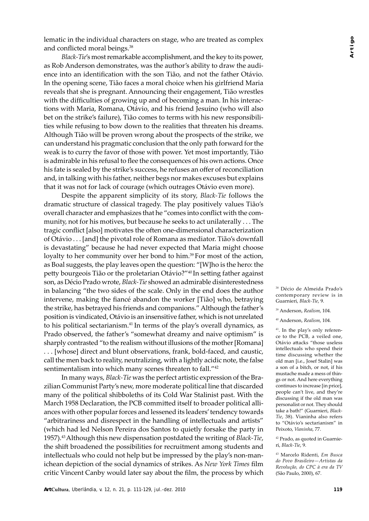lematic in the individual characters on stage, who are treated as complex and conflicted moral beings.38

*Black-Tie*'s most remarkable accomplishment, and the key to its power, as Rob Anderson demonstrates, was the author's ability to draw the audience into an identification with the son Tião, and not the father Otávio. In the opening scene, Tião faces a moral choice when his girlfriend Maria reveals that she is pregnant. Announcing their engagement, Tião wrestles with the difficulties of growing up and of becoming a man. In his interactions with Maria, Romana, Otávio, and his friend Jesuíno (who will also bet on the strike's failure), Tião comes to terms with his new responsibilities while refusing to bow down to the realities that threaten his dreams. Although Tião will be proven wrong about the prospects of the strike, we can understand his pragmatic conclusion that the only path forward for the weak is to curry the favor of those with power. Yet most importantly, Tião is admirable in his refusal to flee the consequences of his own actions. Once his fate is sealed by the strike's success, he refuses an offer of reconciliation and, in talking with his father, neither begs nor makes excuses but explains that it was not for lack of courage (which outrages Otávio even more).

Despite the apparent simplicity of its story, *Black-Tie* follows the dramatic structure of classical tragedy. The play positively values Tião's overall character and emphasizes that he "comes into conflict with the community, not for his motives, but because he seeks to act unilaterally . . . The tragic conflict [also] motivates the often one-dimensional characterization of Otávio . . . [and] the pivotal role of Romana as mediator. Tião's downfall is devastating" because he had never expected that Maria might choose loyalty to her community over her bond to him.<sup>39</sup> For most of the action, as Boal suggests, the play leaves open the question: "[W]ho is the hero: the petty bourgeois Tião or the proletarian Otávio?"<sup>40</sup> In setting father against son, as Décio Prado wrote, *Black-Tie* showed an ad mirable disinterestedness in balancing "the two sides of the scale. Only in the end does the author intervene, making the fiancé abandon the worker [Tião] who, betraying the strike, has betrayed his friends and companions." Although the father's position is vindicated, Otávio is an insensitive father, which is not unrelated to his political sectarianism.41 In terms of the play's overall dynamics, as Prado observed, the father's "somewhat dreamy and naive optimism" is sharply contrasted "to the realism without illusions of the mother [Romana] . . . [whose] direct and blunt observations, frank, bold-faced, and caustic, call the men back to reality, neutralizing, with a lightly acidic note, the false sentimentalism into which many scenes threaten to fall."42

In many ways, *Black-Tie* was the perfect artistic expression of the Brazilian Communist Party's new, more moderate political line that discarded many of the political shibboleths of its Cold War Stalinist past. With the March 1958 Declaration, the PCB committed itself to broader political alliances with other popular forces and lessened its leaders' tendency towards "arbitrariness and disrespect in the handling of intellectuals and artists" (which had led Nelson Pereira dos Santos to quietly forsake the party in 1957).43 Although this new dispensa tion postdated the writing of *Black-Tie*, the shift broadened the possibilities for recruitment among students and intellectuals who could not help but be impressed by the play's non-manichean depiction of the social dynamics of strikes. As *New York Times* film critic Vincent Canby would later say about the film, the process by which 38 Décio de Almeida Prado's contemporary review is in Guarnieri, *Black-Tie*, 9.

39 Anderson, *Realism*, 104.

40 Anderson, *Realism*, 104.

41. In the play's only reference to the PCB, a veiled one, Otávio attacks "those useless in tellectuals who spend their time discussing whether the old man [i.e., Josef Stalin] was a son of a bitch, or not, if his mustache made a mess of things or not. And here everything continues to increase [in price], people can't live, and they're discussing if the old man was personalist or not. They should take a bath!" (Guarnieri, *Black-Tie*, 38). Vianinha also refers to "Otávio's sectarianism" in Peixoto, *Vianinha*, 77.

42 Prado, as quoted in Guarnieri, *Black-Tie*, 9.

43 Marcelo Ridenti, *Em Busca do Povo Brasileiro—Artistas da Revolução, do CPC à era da TV*  (São Paulo, 2000), 67.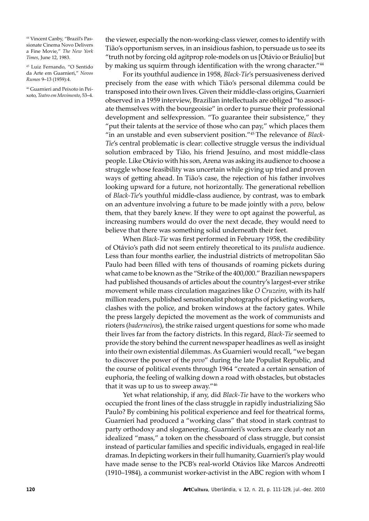44 Vincent Canby, "Brazil's Passionate Cinema Novo Delivers a Fine Movie," *The New York Times*, June 12, 1983.

45 Luiz Fernando, "O Sentido da Arte em Guarnieri," *Novos Rumos* 9–13 (1959):4.

46 Guarnieri and Peixoto in Peixoto, *Teatro em Movimento*, 53–4.

the viewer, especially the non-working-class viewer, comes to identify with Tião's opportunism serves, in an insidious fashion, to persuade us to see its "truth not by forcing old agitprop role-models on us [Otávio or Bráulio] but by making us squirm through identification with the wrong character."<sup>44</sup>

For its youthful audience in 1958, *Black-Tie*'s persuasiveness derived precisely from the ease with which Tião's personal dilemma could be transposed into their own lives. Given their middle-class origins, Guarnieri observed in a 1959 interview, Brazilian intellectuals are obliged "to associate themselves with the bourgeoisie" in order to pursue their professional development and selfexpression. "To guarantee their subsistence," they "put their talents at the service of those who can pay," which places them "in an unstable and even subservient position."<sup>45</sup> The relevance of *Black*-*Tie*'s central problematic is clear: collective struggle versus the individual solution embraced by Tião, his friend Jesuíno, and most middle-class people. Like Otávio with his son, Arena was asking its audience to choose a struggle whose feasibility was uncertain while giving up tried and proven ways of getting ahead. In Tião's case, the rejection of his father involves looking upward for a future, not horizontally. The generational rebellion of *Black-Tie's* youthful middle-class audience, by contrast, was to embark on an adventure involving a future to be made jointly with a *povo,* below them, that they barely knew. If they were to opt against the powerful, as increasing numbers would do over the next decade, they would need to believe that there was something solid underneath their feet.

When *Black-Tie* was first performed in February 1958, the credibility of Otávio's path did not seem entirely theoretical to its *paulista* audience. Less than four months earlier, the industrial districts of metropolitan São Paulo had been filled with tens of thousands of roaming pickets during what came to be known as the "Strike of the 400,000." Brazilian newspapers had published thousands of articles about the country's largest-ever strike movement while mass circulation magazines like *O Cruzeiro*, with its half million readers, published sensationalist photographs of picketing workers, clashes with the police, and broken windows at the factory gates. While the press largely depicted the movement as the work of communists and rioters (*baderneiros*), the strike raised urgent questions for some who made their lives far from the factory districts. In this regard, *Black-Tie* seemed to provide the story behind the current newspaper headlines as well as insight into their own existential dilemmas. As Guarnieri would recall, "we began to discover the power of the *povo*" during the late Populist Republic, and the course of political events through 1964 "created a certain sensation of eu phoria, the feeling of walking down a road with obstacles, but obstacles that it was up to us to sweep away."46

Yet what relationship, if any, did *Black-Tie* have to the workers who occupied the front lines of the class struggle in rapidly industrializing São Paulo? By combining his political experience and feel for theatrical forms, Guarnieri had produced a "working class" that stood in stark contrast to party orthodoxy and sloganeering. Guarnieri's workers are clearly not an idealized "mass," a token on the chessboard of class struggle, but consist instead of particular families and specific individuals, engaged in real-life dramas. In depicting workers in their full humanity, Guarnieri's play would have made sense to the PCB's real-world Otávios like Marcos Andreotti (1910–1984), a communist worker-activist in the ABC region with whom I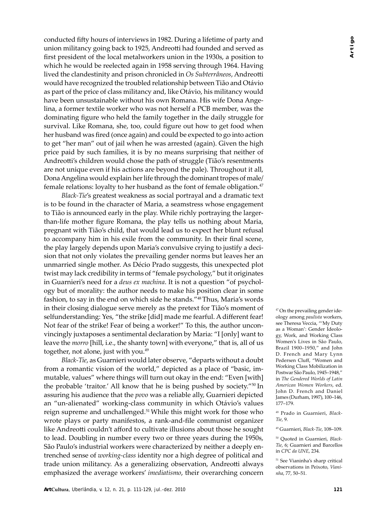conducted fifty hours of interviews in 1982. During a lifetime of party and union militancy going back to 1925, Andreotti had founded and served as first president of the local metalworkers union in the 1930s, a position to which he would be reelected again in 1958 serving through 1964. Having lived the clandestinity and prison chronicled in *Os Subterrâneos*, Andreotti would have recognized the troubled relationship between Tião and Otávio as part of the price of class militancy and, like Otávio, his militancy would have been unsustainable without his own Romana. His wife Dona Angelina, a former textile worker who was not herself a PCB member, was the dominating figure who held the family together in the daily struggle for survival. Like Romana, she, too, could figure out how to get food when her husband was fired (once again) and could be expected to go into action to get "her man" out of jail when he was arrested (again). Given the high price paid by such families, it is by no means surprising that neither of Andreotti's children would chose the path of struggle (Tião's resentments are not unique even if his actions are beyond the pale). Throughout it all, Dona Angelina would explain her life through the dominant tropes of male/ female relations: loyalty to her husband as the font of female obligation. $47$ 

*Black-Tie*'s greatest weakness as social portrayal and a dramatic text is to be found in the character of Maria, a seamstress whose engagement to Tião is announced early in the play. While richly portraying the largerthan-life mother figure Romana, the play tells us nothing about Maria, pregnant with Tião's child, that would lead us to expect her blunt refusal to accompany him in his exile from the community. In their final scene, the play largely depends upon Maria's convulsive crying to justify a decision that not only violates the prevailing gender norms but leaves her an unmarried single mother. As Décio Prado suggests, this unexpected plot twist may lack credibility in terms of "female psychology," but it originates in Guarnieri's need for a *deus ex machina*. It is not a question "of psychology but of morality: the author needs to make his position clear in some fashion, to say in the end on which side he stands."48 Thus, Maria's words in their closing dialogue serve merely as the pretext for Tião's moment of selfunderstanding: Yes, "the strike [did] made me fearful. A different fear! Not fear of the strike! Fear of being a worker!" To this, the author unconvincingly juxtaposes a sentimental declaration by Maria: "I [only] want to leave the *morro* [hill, i.e., the shanty town] with everyone," that is, all of us together, not alone, just with you.<sup>49</sup>

*Black-Tie*, as Guarnieri would later observe, "departs without a doubt from a romantic vision of the world," depicted as a place of "basic, immutable, values" where things will turn out okay in the end: "Even [with] the probable 'traitor.' All know that he is being pushed by society."<sup>50</sup> In assuring his audience that the *povo* was a reliable ally, Guarnieri depicted an "un-alienated" working-class community in which Otávio's values reign supreme and unchallenged.51 While this might work for those who wrote plays or party manifestos, a rank-and-file communist organizer like Andreotti couldn't afford to cultivate illusions about those he sought to lead. Doubling in number every two or three years during the 1950s, São Paulo's industrial workers were characterized by neither a deeply entrenched sense of *working-class* identity nor a high degree of political and trade union militancy. As a generalizing observation, Andreotti always emphasized the average workers' *imediatismo*, their overarching concern 47 On the prevailing gender ideology among *paulista* workers, see Theresa Veccia, "'My Duty as a Woman': Gender Ideology, Work, and Working Class Women's Lives in São Paulo, Brazil 1900–1950," and John D. French and Mary Lynn Pedersen Cluff, "Women and Work ing Class Mobilization in Postwar São Paulo, 1945–1948," in *The Gendered Worlds of Latin American Women Workers*, ed. John D. French and Daniel James (Durham, 1997), 100–146, 177–179.

48 Prado in Guarnieri, *Black-Tie*, 9.

49 Guarnieri, *Black-Tie*, 108–109.

50 Quoted in Guarnieri, *Black-Tie*, 6; Guarnieri and Barcellos in *CPC da UNE*, 234.

51 See Vianinha's sharp critical observations in Peixoto, *Vianinha*, 77, 50–51.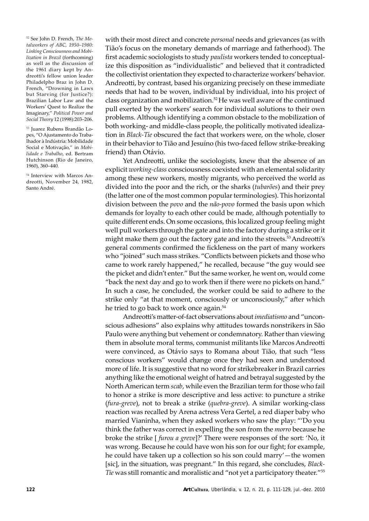52 See John D. French, *The Metalworkers of ABC, 1950–1980: Linking Consciousness and Mobilization in Brazil* (forthcoming) as well as the discussion of the 1961 diary kept by Andreotti's fellow union leader Philadelpho Braz in John D. French, "Drowning in Laws but Starving (for Justice?): Brazilian Labor Law and the Workers' Quest to Realize the Imaginary," Political Power and *Social Theory* 12 (1998):203–206.

53 Juarez Rubens Brandão Lopes, "O Ajustamento do Traba-Ihador à Indústria: Mobilidade Social e Motivação," in *Mobilidade e Trabalho*, ed. Bertram Hutchinson (Rio de Janeiro, 1960), 360–440.

54 Interview with Marcos Andreotti, November 24, 1982, Santo André.

with their most direct and concrete *personal* needs and grievances (as with Tião's focus on the monetary demands of marriage and fatherhood). The first academic sociologists to study *paulista* workers tended to conceptualize this disposition as "individualistic" and believed that it contradicted the collectivist orientation they expected to characterize workers' behavior. Andreotti, by contrast, based his organizing precisely on these immediate needs that had to be woven, individual by individual, into his project of class organization and mobilization.52 He was well aware of the continued pull exerted by the workers' search for individual solutions to their own problems. Although identifying a common obstacle to the mobilization of both working- and middle-class people, the politically motivated idealization in *Black-Tie* obscured the fact that workers were, on the whole, closer in their behavior to Tião and Jesuíno (his two-faced fellow strike-breaking friend) than Otávio.

Yet Andreotti, unlike the sociologists, knew that the absence of an explicit *working-class* consciousness coexisted with an elemental solidarity among these new workers, mostly migrants, who perceived the world as divided into the poor and the rich, or the sharks (*tubarões*) and their prey (the latter one of the most common popular terminologies). This horizontal division between the *povo* and the *não-povo* formed the basis upon which demands for loyalty to each other could be made, although potentially to quite different ends. On some occasions, this localized group feeling might well pull workers through the gate and into the factory during a strike or it might make them go out the factory gate and into the streets.<sup>53</sup> Andreotti's general comments confirmed the fickleness on the part of many workers who "joined" such mass strikes. "Conflicts between pickets and those who came to work rarely happened," he recalled, because "the guy would see the picket and didn't enter." But the same worker, he went on, would come "back the next day and go to work then if there were no pickets on hand." In such a case, he concluded, the worker could be said to adhere to the strike only "at that moment, consciously or unconsciously," after which he tried to go back to work once again.<sup>54</sup>

Andreotti's matter-of-fact observations about *imediatismo* and "unconscious adhesions" also explains why attitudes towards nonstrikers in São Paulo were anything but vehement or condemnatory. Rather than viewing them in absolute moral terms, communist militants like Marcos Andreotti were convinced, as Otávio says to Romana about Tião, that such "less conscious workers" would change once they had seen and understood more of life. It is suggestive that no word for strikebreaker in Brazil carries anything like the emotional weight of hatred and betrayal suggested by the North American term *scab*, while even the Brazilian term for those who fail to honor a strike is more descriptive and less active: to puncture a strike (*fura-greve*), not to break a strike (*quebra-greve*). A similar working-class reaction was recalled by Arena actress Vera Gertel, a red diaper baby who married Vianinha, when they asked workers who saw the play: "'Do you think the father was correct in expelling the son from the *morro* because he broke the strike [ *furou a greve*]?' There were responses of the sort: 'No, it was wrong. Because he could have won his son for our fight; for example, he could have taken up a collection so his son could marry'—the women [sic], in the situation, was pregnant." In this regard, she concludes, *Black-Tie* was still romantic and moralistic and "not yet a participatory theater."<sup>55</sup>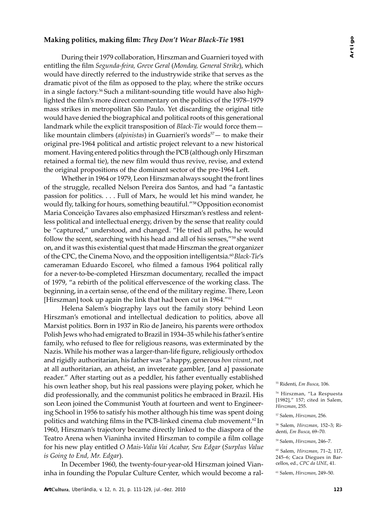#### **Making politics, making film: They Don't Wear Black-Tie 1981**

During their 1979 collaboration, Hirszman and Guarnieri toyed with entitling the film *Segunda-feira, Greve Geral* (*Monday, General Strike*), which would have directly referred to the industrywide strike that serves as the dramatic pivot of the film as opposed to the play, where the strike occurs in a single factory.56 Such a militant-sounding title would have also highlighted the film's more direct com mentary on the politics of the 1978–1979 mass strikes in metropolitan São Paulo. Yet discarding the original title would have denied the biographical and political roots of this generational landmark while the explicit transposition of *Black-Tie* would force them like mountain climbers (*alpinistas*) in Guarnieri's words<sup>57</sup> — to make their original pre-1964 political and artistic project relevant to a new historical moment. Having entered politics through the PCB (although only Hirszman retained a formal tie), the new film would thus revive, revise, and extend the original propositions of the dominant sector of the pre-1964 Left.

Whether in 1964 or 1979, Leon Hirszman always sought the front lines of the struggle, recalled Nelson Pereira dos Santos, and had "a fantastic passion for politics. . . . Full of Marx, he would let his mind wander, he would fly, talking for hours, something beautiful."58 Opposition economist Maria Conceição Tavares also emphasized Hirszman's restless and relentless political and intellectual energy, driven by the sense that reality could be "captured," understood, and changed. "He tried all paths, he would follow the scent, searching with his head and all of his senses,"59 she went on, and it was this existential quest that made Hirszman the great organizer of the CPC, the Cinema Novo, and the opposition intelligentsia.<sup>60</sup> *Black-Tie's* cameraman Eduardo Escorel, who filmed a famous 1964 political rally for a never-to-be-completed Hirszman documentary, recalled the impact of 1979, "a rebirth of the political effervescence of the working class. The beginning, in a certain sense, of the end of the military regime. There, Leon [Hirszman] took up again the link that had been cut in 1964."<sup>61</sup>

Helena Salem's biography lays out the family story behind Leon Hirszman's emotional and intellectual dedication to politics, above all Marxist politics. Born in 1937 in Rio de Janeiro, his parents were orthodox Polish Jews who had emigrated to Brazil in 1934–35 while his father's entire family, who refused to flee for religious reasons, was exterminated by the Nazis. While his mother was a larger-than-life figure, religiously orthodox and rigidly authoritarian, his father was "a happy, generous *bon vivant*, not at all authoritarian, an atheist, an inveterate gambler, [and a] passionate reader." After starting out as a peddler, his father eventually established his own leather shop, but his real passions were playing poker, which he did professionally, and the communist politics he embraced in Brazil. His son Leon joined the Communist Youth at fourteen and went to Engineering School in 1956 to satisfy his mother although his time was spent doing politics and watching films in the PCB-linked cinema club movement.<sup>62</sup> In 1960, Hirszman's trajectory became directly linked to the diaspora of the Teatro Arena when Vianinha invited Hirszman to compile a film collage for his new play entitled *O Mais-Valia Vai Acabar, Seu Edgar* (*Surplus Value is Going to End, Mr. Edgar*).

In December 1960, the twenty-four-year-old Hirszman joined Vianinha in founding the Popular Culture Center, which would become a ral-

<sup>55</sup> Ridenti, *Em Busca*, 106.

<sup>56</sup> Hirszman, "La Respuesta [1982]," 157; cited in Salem, *Hirszman*, 255.

<sup>57</sup> Salem, *Hirszman*, 256.

<sup>58</sup> Salem, *Hirszman*, 152–3; Ridenti, *Em Busca*, 69–70.

<sup>59</sup> Salem, *Hirszman*, 246–7.

<sup>60</sup> Salem, *Hirszman*, 71–2, 117, 245–6; Caca Diegues in Barcellos, ed., *CPC da UNE*, 41.

<sup>61</sup> Salem, *Hirszman*, 249–50.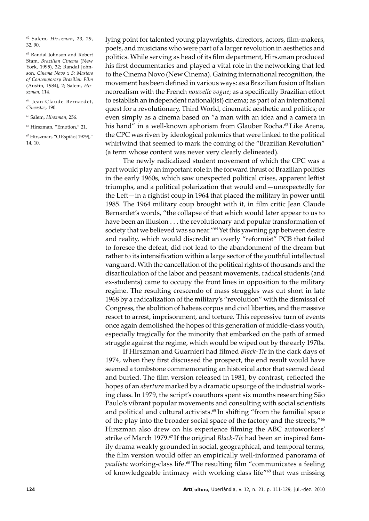62 Salem, *Hirszman*, 23, 29, 32, 90.

<sup>63</sup> Randal Johnson and Robert Stam, *Brazilian Cinema* (New York, 1995), 32; Randal Johnson, *Cinema Novo x 5: Masters of Contemporary Brazilian Film*  (Austin, 1984), 2; Salem, *Hirszman*, 114.

64 Jean-Claude Bernardet, *Cineastas*, 190.

65 Salem, *Hirszman*, 256.

66 Hirszman, "Emotion," 21.

67 Hirszman, "O Espião [1979]," 14, 10.

lying point for talented young playwrights, directors, actors, film-makers, poets, and musicians who were part of a larger revolution in aesthetics and politics. While serving as head of its film department, Hirszman produced his first documentaries and played a vital role in the networking that led to the Cinema Novo (New Cinema). Gaining international recognition, the movement has been defined in various ways: as a Brazilian fusion of Italian neorealism with the French *nouvelle vogue*; as a specifically Brazilian effort to establish an independent national(ist) cinema; as part of an international quest for a revolutionary, Third World, cinematic aesthetic and politics; or even simply as a cinema based on "a man with an idea and a camera in his hand" in a well-known aphorism from Glauber Rocha.<sup>63</sup> Like Arena, the CPC was riven by ideological polemics that were linked to the political whirlwind that seemed to mark the coming of the "Brazilian Revolution" (a term whose content was never very clearly delineated).

The newly radicalized student movement of which the CPC was a part would play an important role in the forward thrust of Brazilian politics in the early 1960s, which saw unexpected political crises, apparent leftist triumphs, and a political polarization that would end—unexpectedly for the Left-in a rightist coup in 1964 that placed the military in power until 1985. The 1964 military coup brought with it, in film critic Jean Claude Bernardet's words, "the collapse of that which would later appear to us to have been an illusion . . . the revolutionary and popular transformation of society that we believed was so near."64 Yet this yawning gap between desire and reality, which would discredit an overly "reformist" PCB that failed to foresee the defeat, did not lead to the abandonment of the dream but rather to its intensification within a large sector of the youthful intellectual vanguard. With the cancellation of the political rights of thousands and the disarticulation of the labor and peasant movements, radical students (and ex-students) came to occupy the front lines in opposition to the military regime. The resulting crescendo of mass struggles was cut short in late 1968 by a radicalization of the military's "revolution" with the dismissal of Congress, the abolition of habeas corpus and civil liberties, and the massive resort to arrest, imprisonment, and torture. This repressive turn of events once again demolished the hopes of this generation of middle-class youth, especially tragically for the minority that embarked on the path of armed struggle against the regime, which would be wiped out by the early 1970s.

If Hirszman and Guarnieri had filmed *Black-Tie* in the dark days of 1974, when they first discussed the prospect, the end result would have seemed a tombstone commemorating an historical actor that seemed dead and buried. The film version released in 1981, by contrast, reflected the hopes of an *abertura* marked by a dramatic upsurge of the industrial working class. In 1979, the script's coauthors spent six months researching São Paulo's vibrant popular movements and consulting with social scientists and political and cultural activists.<sup>65</sup> In shifting "from the familial space of the play into the broader social space of the factory and the streets,"<sup>66</sup> Hirszman also drew on his experience filming the ABC autoworkers' strike of March 1979.<sup>67</sup> If the original *Black-Tie* had been an inspired family drama weakly grounded in social, geographical, and temporal terms, the film version would offer an empirically well-informed panorama of *paulista* working-class life.68 The resulting film "communicates a feeling of knowledgeable intimacy with working class life"69 that was missing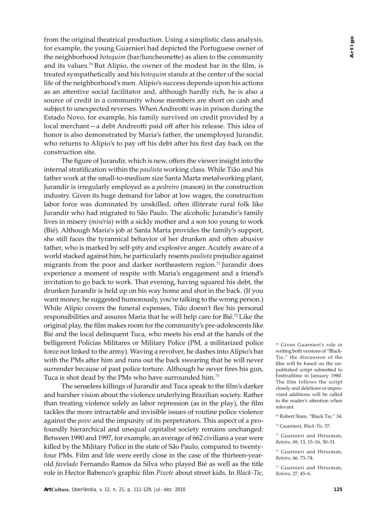from the original theatrical production. Using a simplistic class analysis, for example, the young Guarnieri had depicted the Portuguese owner of the neighborhood *botequim* (bar/luncheonette) as alien to the community and its values.<sup>70</sup> But Alípio, the owner of the modest bar in the film, is treated sympathetically and his *botequim* stands at the center of the social life of the neighborhood's men. Alípio's success depends upon his actions as an attentive social facilitator and, although hardly rich, he is also a source of credit in a community whose members are short on cash and subject to unexpected reverses. When Andreotti was in prison during the Estado Novo, for example, his family survived on credit provided by a local merchant—a debt Andreotti paid off after his release. This idea of honor is also demonstrated by Maria's father, the unemployed Jurandir, who returns to Alípio's to pay off his debt after his first day back on the construction site.

The figure of Jurandir, which is new, offers the viewer insight into the in ternal stratification within the *paulista* working class. While Tião and his father work at the small-to-medium size Santa Marta metalworking plant, Jurandir is irregularly employed as a *pedreiro* (mason) in the construction industry. Given its huge demand for labor at low wages, the construction labor force was dominated by unskilled, often illiterate rural folk like Jurandir who had migrated to São Paulo. The alcoholic Jurandir's family lives in misery (*miséria*) with a sickly mother and a son too young to work (Bié). Although Maria's job at Santa Marta provides the family's support, she still faces the tyrannical behavior of her drunken and often abusive father, who is marked by self-pity and explosive anger. Acutely aware of a world stacked against him, he particularly resents *paulista* prejudice against migrants from the poor and darker northeastern region.<sup>71</sup> Jurandir does experience a moment of respite with Maria's engagement and a friend's invitation to go back to work. That evening, having squared his debt, the drunken Jurandir is held up on his way home and shot in the back. (If you want money, he suggested humorously, you're talking to the wrong person.) While Alípio covers the funeral expenses, Tião doesn't flee his personal responsibilities and assures Maria that he will help care for Bié.<sup>72</sup> Like the original play, the film makes room for the community's pre-adolescents like Bié and the local delinquent Tuca, who meets his end at the hands of the belligerent Polícias Militares or Military Police (PM, a militarized police force not linked to the army). Waving a revolver, he dashes into Alípio's bar with the PMs after him and runs out the back swearing that he will never surrender because of past police torture. Although he never fires his gun, Tuca is shot dead by the PMs who have surrounded him.73

The senseless killings of Jurandir and Tuca speak to the film's darker and harsher vision about the violence underlying Brazilian society. Rather than treating violence solely as labor repression (as in the play), the film tackles the more intractable and invisible issues of routine police violence against the *povo* and the impunity of its perpetrators. This aspect of a profoundly hierarchical and unequal capitalist society remains unchanged: Between 1990 and 1997, for example, an average of 662 civilians a year were killed by the Military Police in the state of São Paulo, compared to twentyfour PMs. Film and life were eerily close in the case of the thirteen-yearold *favelado* Fernando Ramos da Silva who played Bié as well as the title role in Hector Babenco's graphic film *Pixote* about street kids. In *Black-Tie*, 68 Given Guarnieri's role in writing both versions of "Black-Tie," the discussion of the film will be based on the unpublished script submitted to Embrafilme in January 1980. The film follows the script closely and deletions or improvised additions will be called to the reader's attention when relevant.

71 Guarnieri and Hirszman, *Roteiro*, 69, 13, 15–16, 30–31.

72 Guarnieri and Hirszman, *Roteiro*, 66, 73–74.

73 Guarnieri and Hirszman, *Roteiro*, 27, 45–6.

<sup>69</sup> Robert Stam, "Black Tie," 34.

<sup>70</sup> Guarnieri, *Black-Tie*, 57.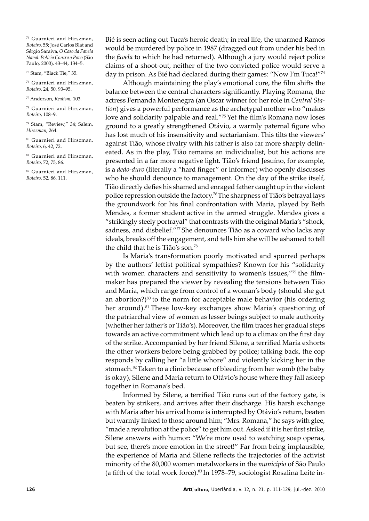74 Guarnieri and Hirszman, *Roteiro*, 55; José Carlos Blat and Sérgio Saraiva, *O Caso da Favela Naval: Polícia Contra o Povo* (São Paulo, 2000), 43–44, 134–5.

75 Stam, "Black Tie," 35.

76 Guarnieri and Hirszman, *Roteiro*, 24, 50, 93–95.

77 Anderson, *Realism*, 103.

78 Guarnieri and Hirszman, *Roteiro*, 108–9.

79 Stam, "Review," 34; Salem, *Hirszman*, 264.

80 Guarnieri and Hirszman, *Roteiro*, 6, 42, 72.

<sup>81</sup> Guarnieri and Hirszman, *Roteiro*, 72, 75, 86.

<sup>82</sup> Guarnieri and Hirszman, *Roteiro*, 52, 86, 111.

Bié is seen acting out Tuca's heroic death; in real life, the unarmed Ramos would be murdered by police in 1987 (dragged out from under his bed in the *favela* to which he had returned). Although a jury would reject police claims of a shoot-out, neither of the two convicted police would serve a day in prison. As Bié had declared during their games: "Now I'm Tuca!"74

Although maintaining the play's emotional core, the film shifts the balance between the central characters significantly. Playing Romana, the actress Fernanda Montenegra (an Oscar winner for her role in *Central Station*) gives a powerful performance as the archetypal mother who "makes love and solidarity palpable and real."75 Yet the film's Romana now loses ground to a greatly strengthened Otávio, a warmly paternal figure who has lost much of his insensitivity and sectarianism. This tilts the viewers' against Tião, whose rivalry with his father is also far more sharply delineated. As in the play, Tião remains an individualist, but his actions are presented in a far more negative light. Tião's friend Jesuíno, for example, is a *dedo-duro* (literally a "hard finger" or informer) who openly discusses who he should denounce to management. On the day of the strike itself, Tião directly defies his shamed and enraged father caught up in the violent police repression outside the factory.76 The sharpness of Tião's betrayal lays the groundwork for his final confrontation with Maria, played by Beth Mendes, a former student active in the armed struggle. Mendes gives a "strikingly steely portrayal" that contrasts with the original Maria's "shock, sadness, and disbelief."77 She denounces Tião as a coward who lacks any ideals, breaks off the engagement, and tells him she will be ashamed to tell the child that he is Tião's son.<sup>78</sup>

Is Maria's transformation poorly motivated and spurred perhaps by the authors' leftist political sympathies? Known for his "solidarity with women characters and sensitivity to women's issues, $179$  the filmmaker has prepared the viewer by revealing the tensions between Tião and Maria, which range from control of a woman's body (should she get an abortion?) $80$  to the norm for acceptable male behavior (his ordering her around).<sup>81</sup> These low-key exchanges show Maria's questioning of the patriarchal view of women as lesser beings subject to male authority (whether her father's or Tião's). Moreover, the film traces her gradual steps towards an active commitment which lead up to a climax on the first day of the strike. Accompanied by her friend Silene, a terrified Maria exhorts the other workers before being grabbed by police; talking back, the cop responds by calling her "a little whore" and violently kicking her in the stomach.<sup>82</sup> Taken to a clinic because of bleeding from her womb (the baby is okay), Silene and Maria return to Otávio's house where they fall asleep together in Romana's bed.

Informed by Silene, a terrified Tião runs out of the factory gate, is beaten by strikers, and arrives after their discharge. His harsh exchange with Maria after his arrival home is interrupted by Otávio's return, beaten but warmly linked to those around him; "Mrs. Romana," he says with glee, "made a revolution at the police" to get him out. Asked if it is her first strike, Silene answers with humor: "We're more used to watching soap operas, but see, there's more emotion in the street!" Far from being implausible, the experience of Maria and Silene reflects the trajectories of the activist minority of the 80,000 women metalworkers in the *município* of São Paulo (a fifth of the total work force). $83$  In 1978–79, sociologist Rosalina Leite in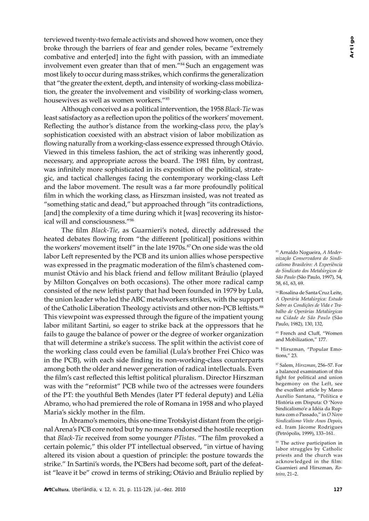terviewed twenty-two female activists and showed how women, once they broke through the barriers of fear and gender roles, became "extremely combative and enter[ed] into the fight with passion, with an immediate involvement even greater than that of men."84 Such an engagement was most likely to occur during mass strikes, which confirms the generalization that "the greater the extent, depth, and intensity of working-class mobilization, the greater the involvement and visibility of working-class women, housewives as well as women workers."85

Although conceived as a political intervention, the 1958 *Black-Tie* was least satisfactory as a reflection upon the politics of the workers' movement. Reflecting the author's distance from the working-class *povo*, the play's sophistication coexisted with an abstract vision of labor mobilization as flowing naturally from a working-class essence expressed through Otávio. Viewed in this timeless fashion, the act of striking was inherently good, necessary, and appropriate across the board. The 1981 film, by contrast, was infinitely more sophisticated in its exposition of the political, strategic, and tactical challenges facing the contemporary working-class Left and the labor movement. The result was a far more profoundly political film in which the working class, as Hirszman insisted, was not treated as "something static and dead," but approached through "its contradictions, [and] the complexity of a time during which it [was] recovering its historical will and consciousness."86

The film *Black-Tie*, as Guarnieri's noted, directly addressed the heated debates flowing from "the different [political] positions within the workers' movement itself" in the late 1970s.<sup>87</sup>On one side was the old labor Left represented by the PCB and its union allies whose perspective was expressed in the pragmatic moderation of the film's chastened communist Otávio and his black friend and fellow militant Bráulio (played by Milton Gonçalves on both occasions). The other more radical camp consisted of the new leftist party that had been founded in 1979 by Lula, the union leader who led the ABC metalworkers strikes, with the support of the Catholic Liberation Theology activists and other non-PCB leftists.<sup>88</sup> This viewpoint was expressed through the figure of the impatient young labor militant Sartini, so eager to strike back at the oppressors that he fails to gauge the balance of power or the degree of worker organization that will determine a strike's success. The split within the activist core of the working class could even be familial (Lula's brother Frei Chico was in the PCB), with each side finding its non-working-class counterparts among both the older and newer generation of radical intellectuals. Even the film's cast reflected this leftist political pluralism. Director Hirszman was with the "reformist" PCB while two of the actresses were founders of the PT: the youthful Beth Mendes (later PT federal deputy) and Lélia Abramo, who had premiered the role of Romana in 1958 and who played Maria's sickly mother in the film.

In Abramo's memoirs, this one-time Trotskyist distant from the original Arena's PCB core noted but by no means endorsed the hostile reception that *Black-Tie* received from some younger *PTistas*. "The film provoked a certain polemic," this older PT intellectual observed, "in virtue of having altered its vision about a question of principle: the posture towards the strike." In Sartini's words, the PCBers had become soft, part of the defeatist "leave it be" crowd in terms of striking; Otávio and Bráulio replied by 83 Arnaldo Nogueira, *A Modernização Conservadora do Sindicalismo Brasileiro: A Ex periência do Sindicato dos Metalúrgicos de São Paulo* (São Paulo, 1997), 54, 58, 61, 63, 69.

84 Rosalina de Santa Cruz Leite, *A Operária Metalúrgica: Estudo Sobre as Condições de Vida e Trabalho de Operárias Metalúrgicas na Cidade de São Paulo* (São Paulo, 1982), 130, 132,

<sup>85</sup> French and Cluff. "Women and Mobilization," 177.

86 Hirszman, "Popular Emotions," 23.

87 Salem, *Hirszman*, 256–57. For a balanced examination of this fight for political and union hegemony on the Left, see the excellent article by Marco Aurélio Santana, "Política e História em Disputa: O 'Novo Sindicalismo'e a Idéia da Ruptura com o Passado," in *O Novo Sindicalismo Vinte Anos Depois*, ed. Iram Jácome Rodrigues (Petrópolis, 1999), 133–161.

88 The active participation in labor struggles by Catholic priests and the church was acknowledged in the film: Guarnieri and Hirszman, *Roteiro*, 21–2.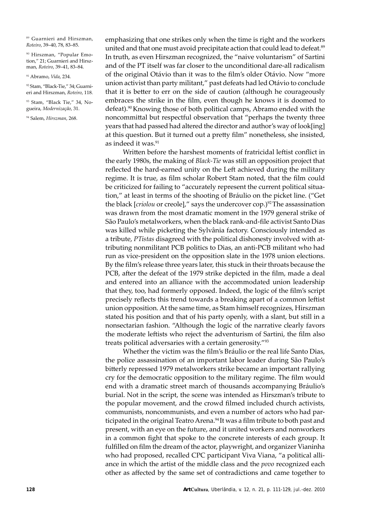89 Guarnieri and Hirszman, *Roteiro*, 39–40, 78, 83–85.

90 Hirszman, "Popular Emotion," 21; Guarnieri and Hirszman, *Roteiro*, 39–41, 83–84.

91 Abramo, *Vida*, 234.

92 Stam, "Black-Tie," 34; Guarnieri and Hirszman, *Roteiro*, 118.

93 Stam, "Black Tie," 34, Nogueira, *Modernização*, 31.

94 Salem, *Hirszman*, 268.

emphasizing that one strikes only when the time is right and the workers united and that one must avoid precipitate action that could lead to defeat.<sup>89</sup> In truth, as even Hirszman recognized, the "naive voluntarism" of Sartini and of the PT itself was far closer to the unconditional dare-all radicalism of the original Otávio than it was to the film's older Otávio. Now "more union activist than party militant," past defeats had led Otávio to conclude that it is better to err on the side of caution (although he courageously embraces the strike in the film, even though he knows it is doomed to defeat).<sup>90</sup> Knowing those of both political camps, Abramo ended with the noncommittal but respectful observation that "perhaps the twenty three years that had passed had altered the director and author's way of look[ing] at this question. But it turned out a pretty film" nonetheless, she insisted, as indeed it was.<sup>91</sup>

Written before the harshest moments of fratricidal leftist conflict in the early 1980s, the making of *Black-Tie* was still an opposition project that reflected the hard-earned unity on the Left achieved during the military regime. It is true, as film scholar Robert Stam noted, that the film could be criticized for failing to "accurately represent the current political situation," at least in terms of the shooting of Bráulio on the picket line. ("Get the black [*criolou* or creole]," says the undercover cop.)92 The assassination was drawn from the most dramatic moment in the 1979 general strike of São Paulo's metalworkers, when the black rank-and-file activist Santo Dias was killed while picketing the Sylvânia factory. Consciously intended as a tribute, PTistas disagreed with the political dishonesty involved with attributing nonmilitant PCB politics to Dias, an anti-PCB militant who had run as vice-president on the opposition slate in the 1978 union elections. By the film's release three years later, this stuck in their throats because the PCB, after the defeat of the 1979 strike depicted in the film, made a deal and entered into an alliance with the accommodated union leadership that they, too, had formerly opposed. Indeed, the logic of the film's script precisely reflects this trend towards a breaking apart of a common leftist union opposition. At the same time, as Stam himself recognizes, Hirszman stated his position and that of his party openly, with a slant, but still in a nonsectarian fashion. "Although the logic of the narrative clearly favors the moderate leftists who reject the adventurism of Sartini, the film also treats political adversaries with a certain generosity."93

Whether the victim was the film's Bráulio or the real life Santo Dias, the police assassination of an important labor leader during São Paulo's bitterly repressed 1979 metalworkers strike became an important rallying cry for the dem ocratic opposition to the military regime. The film would end with a dramatic street march of thousands accompanying Bráulio's burial. Not in the script, the scene was intended as Hirszman's tribute to the popular movement, and the crowd filmed included church activists, communists, noncommunists, and even a number of actors who had participated in the original Teatro Arena.<sup>94</sup> It was a film tribute to both past and present, with an eye on the future, and it united workers and nonworkers in a common fight that spoke to the concrete interests of each group. It fulfilled on film the dream of the actor, playwright, and organizer Vianinha who had proposed, recalled CPC participant Viva Viana, "a political alliance in which the artist of the middle class and the *povo* recognized each other as affected by the same set of contradictions and came together to